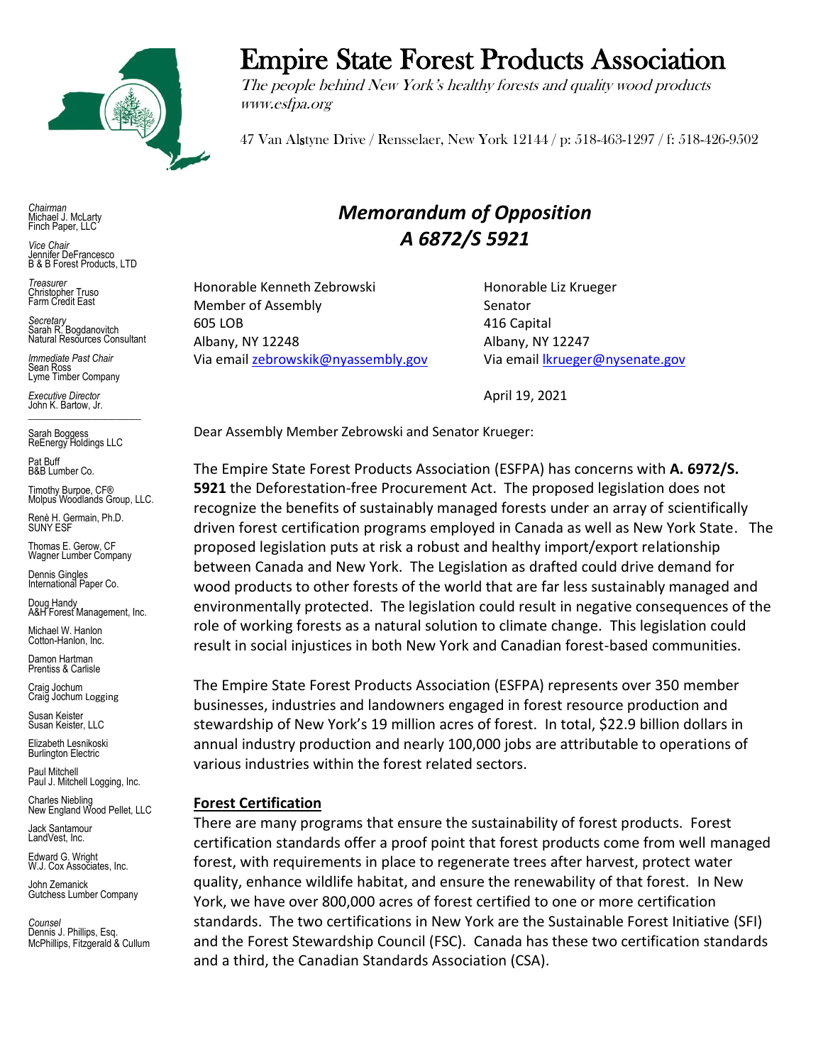

Empire State Forest Products Association

The people behind New York's healthy forests and quality wood products www.esfpa.org

47 Van Alstyne Drive / Rensselaer, New York 12144 / p: 518-463-1297 / f: 518-426-9502

*Chairman* Michael J. McLarty Finch Paper, LLC

*Vice Chair* Jennifer DeFrancesco B & B Forest Products, LTD

*Treasurer* Christopher Truso Farm Credit East

*Secretary* Sarah R. Bogdanovitch Natural Resources Consultant

*Immediate Past Chair* Sean Ross Lyme Timber Company

*Executive Director* John K. Bartow, Jr.  $\mathcal{L}_\text{max}$  , we can also the set of the set of the set of the set of the set of the set of the set of the set of the set of the set of the set of the set of the set of the set of the set of the set of the set of the se

Sarah Boggess ReEnergy Holdings LLC

Pat Buff B&B Lumber Co.

Timothy Burpoe, CF® Molpus Woodlands Group, LLC.

Renè H. Germain, Ph.D. SUNY ESF

Thomas E. Gerow, CF Wagner Lumber Company

Dennis Gingles International Paper Co.

Doug Handy A&H Forest Management, Inc.

Michael W. Hanlon Cotton-Hanlon, Inc.

Damon Hartman Prentiss & Carlisle

Craig Jochum Craig Jochum Logging

Susan Keister Susan Keister, LLC

Elizabeth Lesnikoski **Burlington Electric** 

Paul Mitchell Paul J. Mitchell Logging, Inc.

Charles Niebling New England Wood Pellet, LLC

Jack Santamour LandVest, Inc.

Edward G. Wright W.J. Cox Associates, Inc.

John Zemanick Gutchess Lumber Company

*Counsel* Dennis J. Phillips, Esq. McPhillips, Fitzgerald & Cullum

# *Memorandum of Opposition A 6872/S 5921*

Honorable Kenneth Zebrowski honorable Liz Krueger Member of Assembly Senator 605 LOB 416 Capital Albany, NY 12248 Albany, NY 12247 Via emai[l zebrowskik@nyassembly.gov](mailto:zebrowskik@nyassembly.gov) Via emai[l lkrueger@nysenate.gov](mailto:lkrueger@nysenate.gov)

April 19, 2021

Dear Assembly Member Zebrowski and Senator Krueger:

The Empire State Forest Products Association (ESFPA) has concerns with **A. 6972/S. 5921** the Deforestation-free Procurement Act. The proposed legislation does not recognize the benefits of sustainably managed forests under an array of scientifically driven forest certification programs employed in Canada as well as New York State. The proposed legislation puts at risk a robust and healthy import/export relationship between Canada and New York. The Legislation as drafted could drive demand for wood products to other forests of the world that are far less sustainably managed and environmentally protected. The legislation could result in negative consequences of the role of working forests as a natural solution to climate change. This legislation could result in social injustices in both New York and Canadian forest-based communities.

The Empire State Forest Products Association (ESFPA) represents over 350 member businesses, industries and landowners engaged in forest resource production and stewardship of New York's 19 million acres of forest. In total, \$22.9 billion dollars in annual industry production and nearly 100,000 jobs are attributable to operations of various industries within the forest related sectors.

## **Forest Certification**

There are many programs that ensure the sustainability of forest products. Forest certification standards offer a proof point that forest products come from well managed forest, with requirements in place to regenerate trees after harvest, protect water quality, enhance wildlife habitat, and ensure the renewability of that forest. In New York, we have over 800,000 acres of forest certified to one or more certification standards. The two certifications in New York are the Sustainable Forest Initiative (SFI) and the Forest Stewardship Council (FSC). Canada has these two certification standards and a third, the Canadian Standards Association (CSA).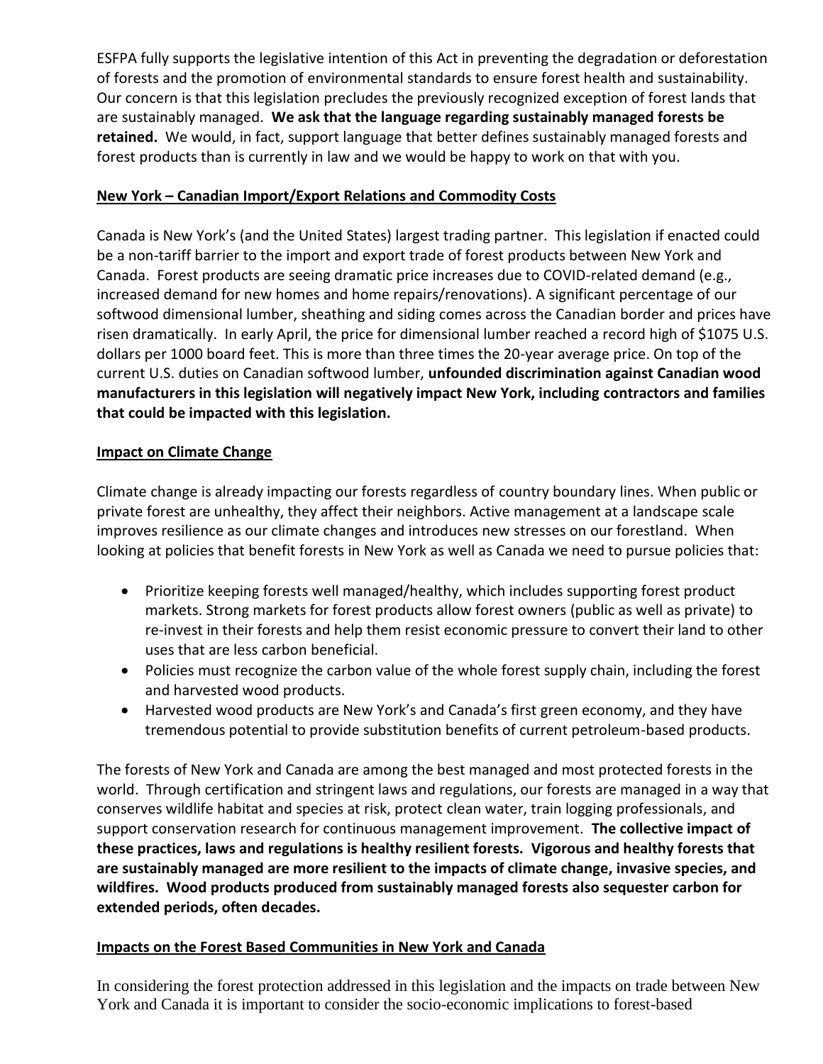ESFPA fully supports the legislative intention of this Act in preventing the degradation or deforestation of forests and the promotion of environmental standards to ensure forest health and sustainability. Our concern is that this legislation precludes the previously recognized exception of forest lands that are sustainably managed. **We ask that the language regarding sustainably managed forests be retained.** We would, in fact, support language that better defines sustainably managed forests and forest products than is currently in law and we would be happy to work on that with you.

## **New York – Canadian Import/Export Relations and Commodity Costs**

Canada is New York's (and the United States) largest trading partner. This legislation if enacted could be a non-tariff barrier to the import and export trade of forest products between New York and Canada. Forest products are seeing dramatic price increases due to COVID-related demand (e.g., increased demand for new homes and home repairs/renovations). A significant percentage of our softwood dimensional lumber, sheathing and siding comes across the Canadian border and prices have risen dramatically. In early April, the price for dimensional lumber reached a record high of \$1075 U.S. dollars per 1000 board feet. This is more than three times the 20-year average price. On top of the current U.S. duties on Canadian softwood lumber, **unfounded discrimination against Canadian wood manufacturers in this legislation will negatively impact New York, including contractors and families that could be impacted with this legislation.**

## **Impact on Climate Change**

Climate change is already impacting our forests regardless of country boundary lines. When public or private forest are unhealthy, they affect their neighbors. Active management at a landscape scale improves resilience as our climate changes and introduces new stresses on our forestland. When looking at policies that benefit forests in New York as well as Canada we need to pursue policies that:

- Prioritize keeping forests well managed/healthy, which includes supporting forest product markets. Strong markets for forest products allow forest owners (public as well as private) to re-invest in their forests and help them resist economic pressure to convert their land to other uses that are less carbon beneficial.
- Policies must recognize the carbon value of the whole forest supply chain, including the forest and harvested wood products.
- Harvested wood products are New York's and Canada's first green economy, and they have tremendous potential to provide substitution benefits of current petroleum-based products.

The forests of New York and Canada are among the best managed and most protected forests in the world. Through certification and stringent laws and regulations, our forests are managed in a way that conserves wildlife habitat and species at risk, protect clean water, train logging professionals, and support conservation research for continuous management improvement. **The collective impact of these practices, laws and regulations is healthy resilient forests. Vigorous and healthy forests that are sustainably managed are more resilient to the impacts of climate change, invasive species, and wildfires. Wood products produced from sustainably managed forests also sequester carbon for extended periods, often decades.** 

## **Impacts on the Forest Based Communities in New York and Canada**

In considering the forest protection addressed in this legislation and the impacts on trade between New York and Canada it is important to consider the socio-economic implications to forest-based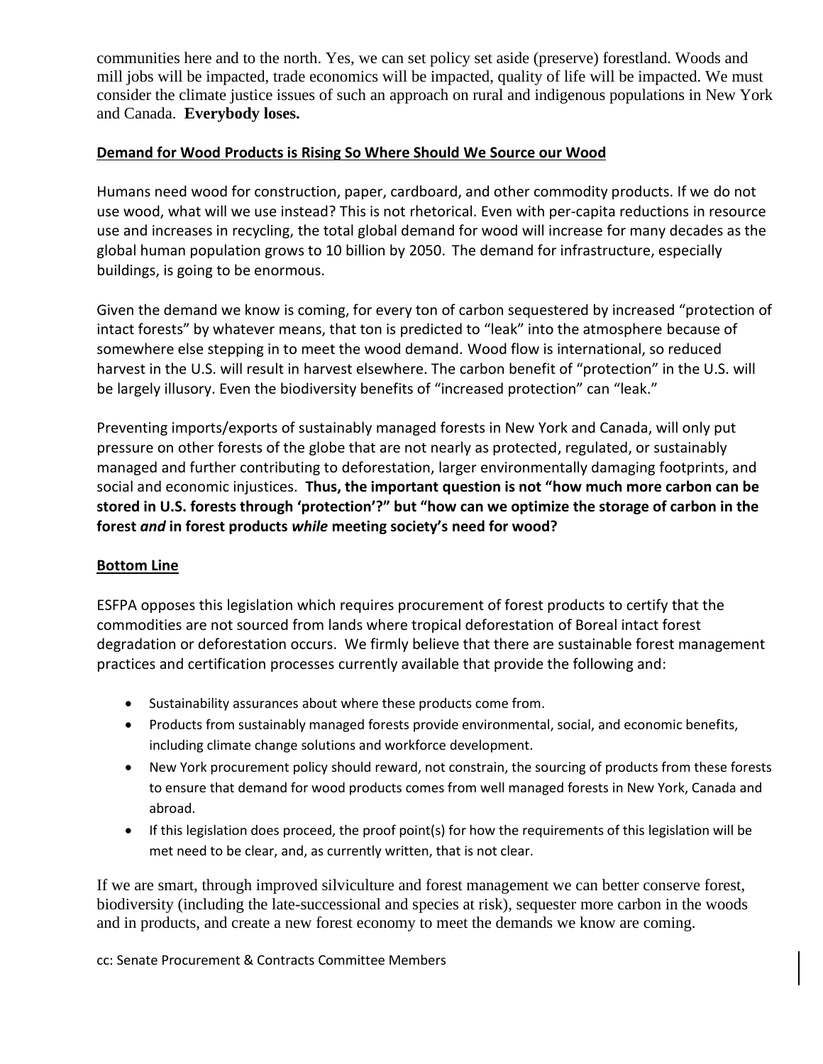communities here and to the north. Yes, we can set policy set aside (preserve) forestland. Woods and mill jobs will be impacted, trade economics will be impacted, quality of life will be impacted. We must consider the climate justice issues of such an approach on rural and indigenous populations in New York and Canada. **Everybody loses.**

#### **Demand for Wood Products is Rising So Where Should We Source our Wood**

Humans need wood for construction, paper, cardboard, and other commodity products. If we do not use wood, what will we use instead? This is not rhetorical. Even with per-capita reductions in resource use and increases in recycling, the total global demand for wood will increase for many decades as the global human population grows to 10 billion by 2050. The demand for infrastructure, especially buildings, is going to be enormous.

Given the demand we know is coming, for every ton of carbon sequestered by increased "protection of intact forests" by whatever means, that ton is predicted to "leak" into the atmosphere because of somewhere else stepping in to meet the wood demand. Wood flow is international, so reduced harvest in the U.S. will result in harvest elsewhere. The carbon benefit of "protection" in the U.S. will be largely illusory. Even the biodiversity benefits of "increased protection" can "leak."

Preventing imports/exports of sustainably managed forests in New York and Canada, will only put pressure on other forests of the globe that are not nearly as protected, regulated, or sustainably managed and further contributing to deforestation, larger environmentally damaging footprints, and social and economic injustices. **Thus, the important question is not "how much more carbon can be stored in U.S. forests through 'protection'?" but "how can we optimize the storage of carbon in the forest** *and* **in forest products** *while* **meeting society's need for wood?**

## **Bottom Line**

ESFPA opposes this legislation which requires procurement of forest products to certify that the commodities are not sourced from lands where tropical deforestation of Boreal intact forest degradation or deforestation occurs. We firmly believe that there are sustainable forest management practices and certification processes currently available that provide the following and:

- Sustainability assurances about where these products come from.
- Products from sustainably managed forests provide environmental, social, and economic benefits, including climate change solutions and workforce development.
- New York procurement policy should reward, not constrain, the sourcing of products from these forests to ensure that demand for wood products comes from well managed forests in New York, Canada and abroad.
- If this legislation does proceed, the proof point(s) for how the requirements of this legislation will be met need to be clear, and, as currently written, that is not clear.

If we are smart, through improved silviculture and forest management we can better conserve forest, biodiversity (including the late-successional and species at risk), sequester more carbon in the woods and in products, and create a new forest economy to meet the demands we know are coming.

cc: Senate Procurement & Contracts Committee Members